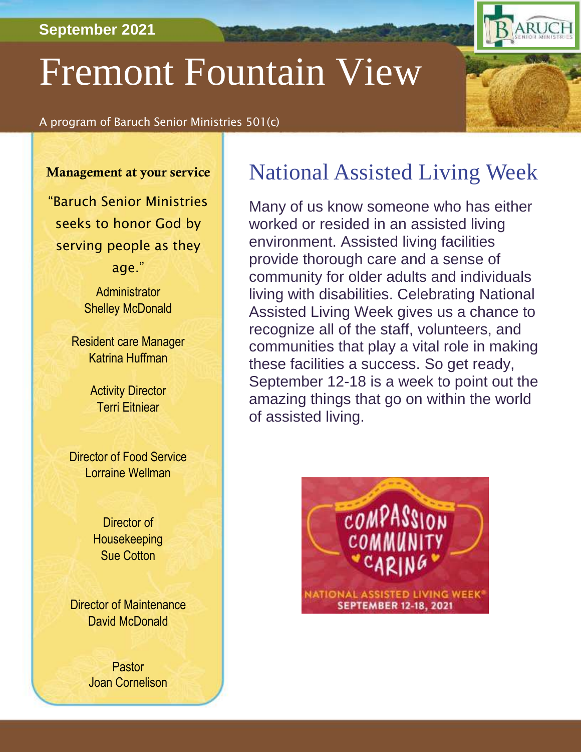#### **September 2021**

# Fremont Fountain View

A program of Baruch Senior Ministries 501(c)

#### Management at your service

"Baruch Senior Ministries seeks to honor God by serving people as they age."

> **Administrator** Shelley McDonald

Resident care Manager Katrina Huffman

> **Activity Director** Terri Eitniear

Director of Food Service Lorraine Wellman

> Director of **Housekeeping** Sue Cotton

Director of Maintenance David McDonald

> Pastor Joan Cornelison

# National Assisted Living Week

RUCH

Many of us know someone who has either worked or resided in an assisted living environment. Assisted living facilities provide thorough care and a sense of community for older adults and individuals living with disabilities. Celebrating National Assisted Living Week gives us a chance to recognize all of the staff, volunteers, and communities that play a vital role in making these facilities a success. So get ready, September 12-18 is a week to point out the amazing things that go on within the world of assisted living.

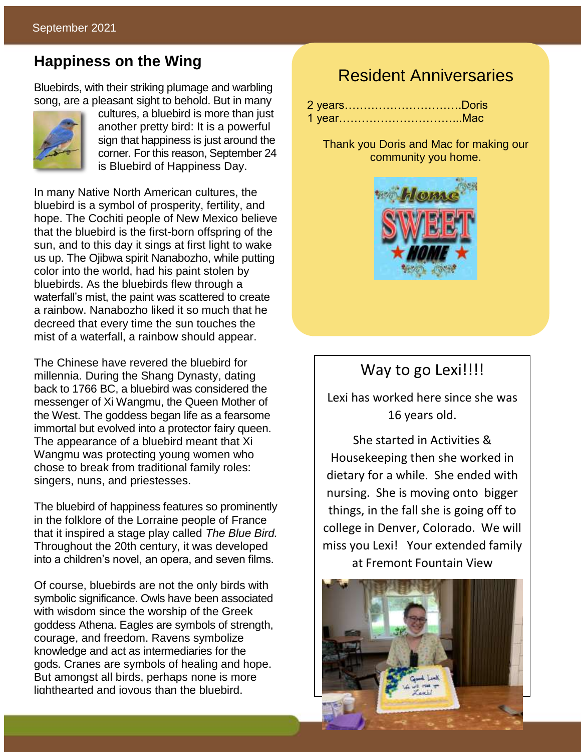#### **Happiness on the Wing**

Bluebirds, with their striking plumage and warbling song, are a pleasant sight to behold. But in many



cultures, a bluebird is more than just another pretty bird: It is a powerful sign that happiness is just around the corner. For this reason, September 24 is Bluebird of Happiness Day.

In many Native North American cultures, the bluebird is a symbol of prosperity, fertility, and hope. The Cochiti people of New Mexico believe that the bluebird is the first-born offspring of the sun, and to this day it sings at first light to wake us up. The Ojibwa spirit Nanabozho, while putting color into the world, had his paint stolen by bluebirds. As the bluebirds flew through a waterfall's mist, the paint was scattered to create a rainbow. Nanabozho liked it so much that he decreed that every time the sun touches the mist of a waterfall, a rainbow should appear.

The Chinese have revered the bluebird for millennia. During the Shang Dynasty, dating back to 1766 BC, a bluebird was considered the messenger of Xi Wangmu, the Queen Mother of the West. The goddess began life as a fearsome immortal but evolved into a protector fairy queen. The appearance of a bluebird meant that Xi Wangmu was protecting young women who chose to break from traditional family roles: singers, nuns, and priestesses.

The bluebird of happiness features so prominently in the folklore of the Lorraine people of France that it inspired a stage play called *The Blue Bird.* Throughout the 20th century, it was developed into a children's novel, an opera, and seven films.

Of course, bluebirds are not the only birds with symbolic significance. Owls have been associated with wisdom since the worship of the Greek goddess Athena. Eagles are symbols of strength, courage, and freedom. Ravens symbolize knowledge and act as intermediaries for the gods. Cranes are symbols of healing and hope. But amongst all birds, perhaps none is more lighthearted and joyous than the bluebird.

# Resident Anniversaries

| 2 yearsDoris |  |
|--------------|--|
|              |  |

Thank you Doris and Mac for making our community you home.



#### Way to go Lexi!!!!

Lexi has worked here since she was 16 years old.

She started in Activities & Housekeeping then she worked in dietary for a while. She ended with nursing. She is moving onto bigger things, in the fall she is going off to college in Denver, Colorado. We will miss you Lexi! Your extended family at Fremont Fountain View

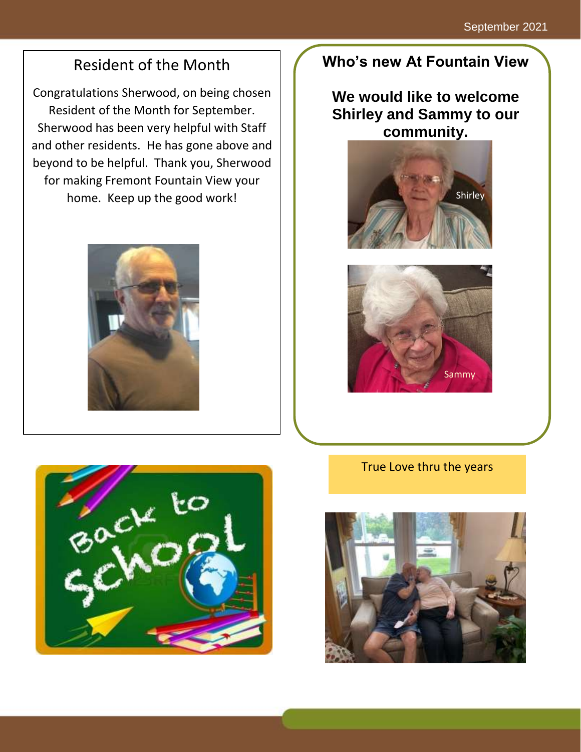# Resident of the Month

Congratulations Sherwood, on being chosen Resident of the Month for September. Sherwood has been very helpful with Staff and other residents. He has gone above and beyond to be helpful. Thank you, Sherwood for making Fremont Fountain View your home. Keep up the good work!



# **Who's new At Fountain View**

## **We would like to welcome Shirley and Sammy to our community.**







True Love thru the years